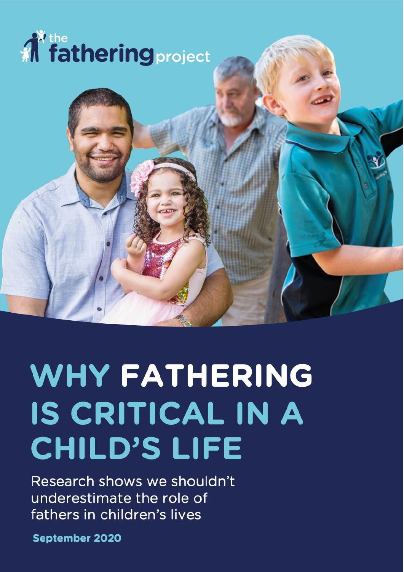



Research shows we shouldn't underestimate the role of fathers in children's lives

**September 2020**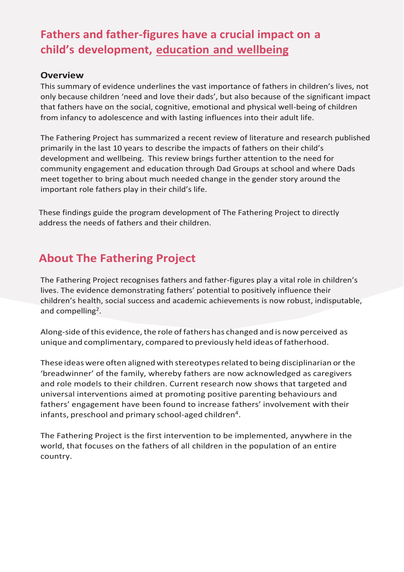# **Fathers and father-figures have a crucial impact on a child's development, education and wellbeing**

#### **Overview**

This summary of evidence underlines the vast importance of fathers in children's lives, not only because children 'need and love their dads', but also because of the significant impact that fathers have on the social, cognitive, emotional and physical well-being of children from infancy to adolescence and with lasting influences into their adult life.

The Fathering Project has summarized a recent review of literature and research published primarily in the last 10 years to describe the impacts of fathers on their child's development and wellbeing. This review brings further attention to the need for community engagement and education through Dad Groups at school and where Dads meet together to bring about much needed change in the gender story around the important role fathers play in their child's life.

These findings guide the program development of The Fathering Project to directly address the needs of fathers and their children.

#### **About The Fathering Project**

The Fathering Project recognises fathers and father-figures play a vital role in children's lives. The evidence demonstrating fathers' potential to positively influence their children's health, social success and academic achievements is now robust, indisputable, and compelling<sup>2</sup>.

Along-side of this evidence, the role of fathers has changed and is now perceived as unique and complimentary, compared to previously held ideas of fatherhood.

These ideas were often aligned with stereotypes related to being disciplinarian or the 'breadwinner' of the family, whereby fathers are now acknowledged as caregivers and role models to their children. Current research now shows that targeted and universal interventions aimed at promoting positive parenting behaviours and fathers' engagement have been found to increase fathers' involvement with their infants, preschool and primary school-aged children<sup>4</sup>.

The Fathering Project is the first intervention to be implemented, anywhere in the world, that focuses on the fathers of all children in the population of an entire country.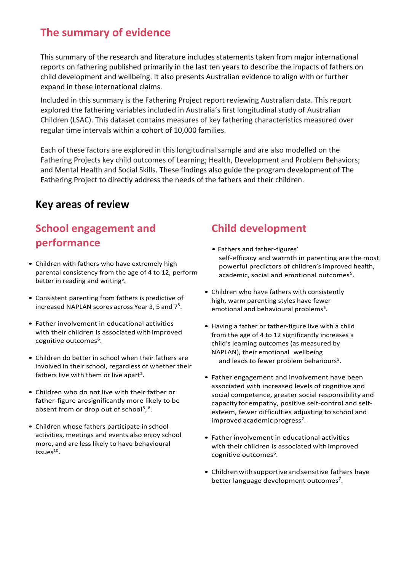## **The summary of evidence**

This summary of the research and literature includes statements taken from major international reports on fathering published primarily in the last ten years to describe the impacts of fathers on child development and wellbeing. It also presents Australian evidence to align with or further expand in these international claims.

Included in this summary is the Fathering Project report reviewing Australian data. This report explored the fathering variables included in Australia's first longitudinal study of Australian Children (LSAC). This dataset contains measures of key fathering characteristics measured over regular time intervals within a cohort of 10,000 families.

Each of these factors are explored in this longitudinal sample and are also modelled on the Fathering Projects key child outcomes of Learning; Health, Development and Problem Behaviors; and Mental Health and Social Skills. These findings also guide the program development of The Fathering Project to directly address the needs of the fathers and their children.

#### **Key areas of review**

## **School engagement and performance**

- Children with fathers who have extremely high parental consistency from the age of 4 to 12, perform better in reading and writing<sup>5</sup>.
- Consistent parenting from fathers is predictive of increased NAPLAN scores across Year 3, 5 and  $7<sup>5</sup>$ .
- Father involvement in educational activities with their children is associated with improved cognitive outcomes<sup>6</sup>.
- Children do better in school when their fathers are involved in their school, regardless of whether their fathers live with them or live apart<sup>2</sup>.
- Children who do not live with their father or father-figure aresignificantly more likely to be absent from or drop out of school<sup>5</sup>,<sup>8</sup>.
- Children whose fathers participate in school activities, meetings and events also enjoy school more, and are less likely to have behavioural issues $^{10}$ .

### **Child development**

- Fathers and father-figures' self-efficacy and warmth in parenting are the most powerful predictors of children's improved health, academic, social and emotional outcomes<sup>5</sup>.
- Children who have fathers with consistently high, warm parenting styles have fewer emotional and behavioural problems<sup>5</sup>.
- Having a father or father-figure live with a child from the age of 4 to 12 significantly increases a child's learning outcomes (as measured by NAPLAN), their emotional wellbeing and leads to fewer problem behariours<sup>5</sup>.
- Father engagement and involvement have been associated with increased levels of cognitive and social competence, greater social responsibility and capacity for empathy, positive self-control and selfesteem, fewer difficulties adjusting to school and improved academic progress<sup>7</sup>.
- Father involvement in educational activities with their children is associated with improved cognitive outcomes<sup>6</sup>.
- Children with supportive and sensitive fathers have better language development outcomes<sup>7</sup>.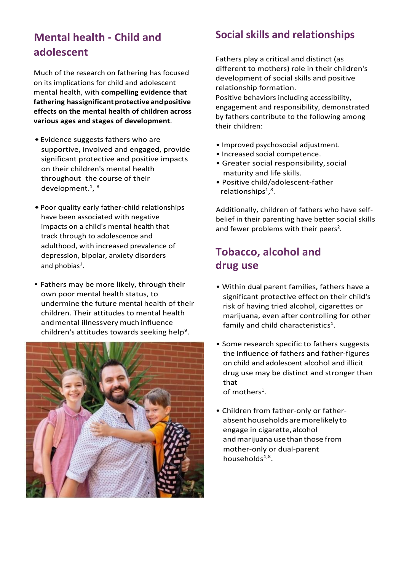## **Mental health - Child and adolescent**

Much of the research on fathering has focused on its implications for child and adolescent mental health, with **compelling evidence that**  fathering hassignificant protective and positive **effects on the mental health of children across various ages and stages of development**.

- •Evidence suggests fathers who are supportive, involved and engaged, provide significant protective and positive impacts on their children's mental health throughout the course of their development.<sup>1</sup>, <sup>8</sup>
- •Poor quality early father-child relationships have been associated with negative impacts on a child's mental health that track through to adolescence and adulthood, with increased prevalence of depression, bipolar, anxiety disorders and phobias<sup>1</sup>.
- Fathers may be more likely, through their own poor mental health status, to undermine the future mental health of their children. Their attitudes to mental health andmental illnessvery much influence children's attitudes towards seeking help<sup>9</sup>.



#### **Social skills and relationships**

Fathers play a critical and distinct (as different to mothers) role in their children's development of social skills and positive relationship formation. Positive behaviors including accessibility, engagement and responsibility, demonstrated by fathers contribute to the following among

- Improved psychosocial adjustment.
- Increased social competence.

their children:

- Greater social responsibility,social maturity and life skills.
- Positive child/adolescent-father relationships<sup>1</sup>,<sup>8</sup>.

Additionally, children of fathers who have selfbelief in their parenting have better social skills and fewer problems with their peers<sup>2</sup>.

## **Tobacco, alcohol and drug use**

- Within dual parent families, fathers have a significant protective effecton their child's risk of having tried alcohol, cigarettes or marijuana, even after controlling for other family and child characteristics<sup>1</sup>.
- Some research specific to fathers suggests the influence of fathers and father-figures on child andadolescent alcohol and illicit drug use may be distinct and stronger than that of mothers<sup>1</sup>.

• Children from father-only or fatherabsent households aremorelikelyto engage in cigarette, alcohol and marijuana use than those from mother-only or dual-parent households<sup>1,8</sup>.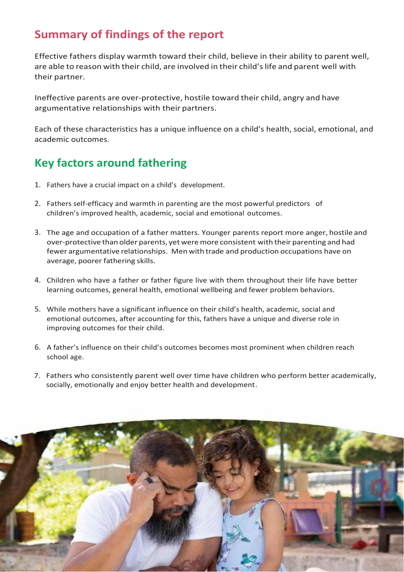## **Summary of findings of the report**

Effective fathers display warmth toward their child, believe in their ability to parent well, are able to reason with their child, are involved in their child'slife and parent well with their partner.

Ineffective parents are over-protective, hostile toward their child, angry and have argumentative relationships with their partners.

Each of these characteristics has a unique influence on a child's health, social, emotional, and academic outcomes.

## **Key factors around fathering**

- 1. Fathers have a crucial impact on a child's development.
- 2. Fathers self-efficacy and warmth in parenting are the most powerful predictors of children's improved health, academic, social and emotional outcomes.
- 3. The age and occupation of a father matters. Younger parents report more anger, hostile and over-protective than older parents, yetweremore consistent with their parenting and had fewer argumentative relationships. Men with trade and production occupations have on average, poorer fathering skills.
- 4. Children who have a father or father figure live with them throughout their life have better learning outcomes, general health, emotional wellbeing and fewer problem behaviors.
- 5. While mothers have a significant influence on their child's health, academic, social and emotional outcomes, after accounting for this, fathers have a unique and diverse role in improving outcomes for their child.
- 6. A father's influence on their child's outcomes becomes most prominent when children reach school age.
- 7. Fathers who consistently parent well over time have children who perform better academically, socially, emotionally and enjoy better health and development.

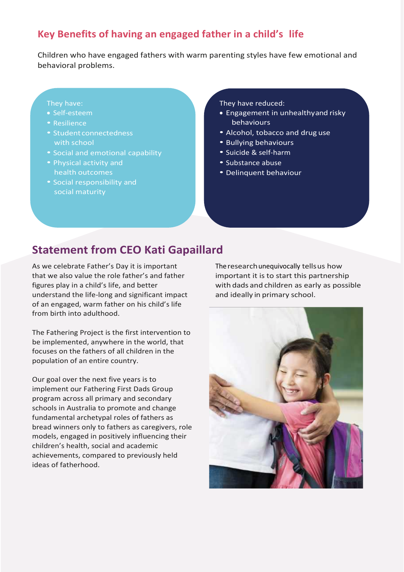#### **Key Benefits of having an engaged father in a child's life**

Children who have engaged fathers with warm parenting styles have few emotional and behavioral problems.

#### They have:

- Self-esteem
- Resilience
- Student connectedness with school
- Social and emotional capability
- Physical activity and health outcomes
- Social responsibility and social maturity

#### They have reduced:

- Engagement in unhealthyand risky behaviours
- Alcohol, tobacco and drug use
- Bullying behaviours
- Suicide & self-harm
- Substance abuse
- Delinquent behaviour

#### **Statement from CEO Kati Gapaillard**

As we celebrate Father's Day it is important that we also value the role father's and father figures play in a child's life, and better understand the life-long and significant impact of an engaged, warm father on his child's life from birth into adulthood.

The Fathering Project is the first intervention to be implemented, anywhere in the world, that focuses on the fathers of all children in the population of an entire country.

Our goal over the next five years is to implement our Fathering First Dads Group program across all primary and secondary schools in Australia to promote and change fundamental archetypal roles of fathers as bread winners only to fathers as caregivers, role models, engaged in positively influencing their children's health, social and academic achievements, compared to previously held ideas of fatherhood.

The research unequivocally tells us how important it is to start this partnership with dads and children as early as possible and ideally in primary school.

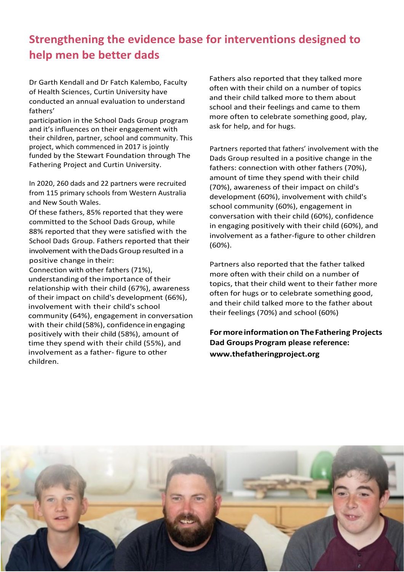# **Strengthening the evidence base for interventions designed to help men be better dads**

Dr Garth Kendall and Dr Fatch Kalembo, Faculty of Health Sciences, Curtin University have conducted an annual evaluation to understand fathers'

participation in the School Dads Group program and it's influences on their engagement with their children, partner, school and community. This project, which commenced in 2017 is jointly funded by the Stewart Foundation through The Fathering Project and Curtin University.

In 2020, 260 dads and 22 partners were recruited from 115 primary schools from Western Australia and New South Wales.

Of these fathers, 85% reported that they were committed to the School Dads Group, while 88% reported that they were satisfied with the School Dads Group. Fathers reported that their involvement with theDadsGroup resulted in a positive change in their:

Connection with other fathers (71%), understanding of the importance of their relationship with their child (67%), awareness of their impact on child's development (66%), involvement with their child's school community (64%), engagement in conversation with their child (58%), confidence in engaging positively with their child (58%), amount of time they spend with their child (55%), and involvement as a father- figure to other children.

Fathers also reported that they talked more often with their child on a number of topics and their child talked more to them about school and their feelings and came to them more often to celebrate something good, play, ask for help, and for hugs.

Partners reported that fathers' involvement with the Dads Group resulted in a positive change in the fathers: connection with other fathers (70%), amount of time they spend with their child (70%), awareness of their impact on child's development (60%), involvement with child's school community (60%), engagement in conversation with their child (60%), confidence in engaging positively with their child (60%), and involvement as a father-figure to other children (60%).

Partners also reported that the father talked more often with their child on a number of topics, that their child went to their father more often for hugs or to celebrate something good, and their child talked more to the father about their feelings (70%) and school (60%)

**For moreinformation on TheFathering Projects Dad Groups Program please reference: [www.thefatheringproject.org](http://www.thefatheringproject.org/)**

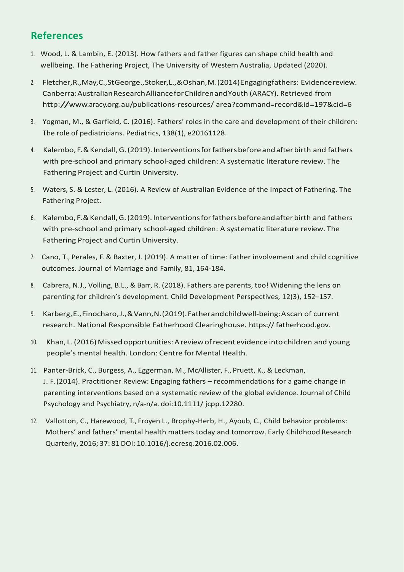#### **References**

- 1. Wood, L. & Lambin, E. (2013). How fathers and father figures can shape child health and wellbeing. The Fathering Project, The University of Western Australia, Updated (2020).
- 2. Fletcher,R.,May,C.,StGeorge.,Stoker,L.,&Oshan,M.(2014)Engagingfathers: Evidencereview. Canberra:AustralianResearchAllianceforChildrenandYouth (ARACY). Retrieved from <http://www.aracy.org.au/publications-resources/> area?command=record&id=197&cid=6
- 3. Yogman, M., & Garfield, C. (2016). Fathers' roles in the care and development of their children: The role of pediatricians. Pediatrics, 138(1), e20161128.
- 4. Kalembo,F.&Kendall,G.(2019).Interventionsforfathersbeforeandafterbirth and fathers with pre-school and primary school-aged children: A systematic literature review. The Fathering Project and Curtin University.
- 5. Waters, S. & Lester, L. (2016). A Review of Australian Evidence of the Impact of Fathering. The Fathering Project.
- 6. Kalembo,F.&Kendall,G.(2019).Interventionsforfathersbeforeandafterbirth and fathers with pre-school and primary school-aged children: A systematic literature review. The Fathering Project and Curtin University.
- 7. Cano, T., Perales, F. & Baxter, J. (2019). A matter of time: Father involvement and child cognitive outcomes. Journal of Marriage and Family, 81, 164-184.
- 8. Cabrera, N.J., Volling, B.L., & Barr, R. (2018). Fathers are parents, too! Widening the lens on parenting for children's development. Child Development Perspectives, 12(3), 152–157.
- 9. Karberg,E.,Finocharo,J.,&Vann,N.(2019).Fatherandchildwell-being:Ascan of current research. National Responsible Fatherhood Clearinghouse. https:// fatherhood.gov.
- 10. Khan, L. (2016) Missed opportunities: A review of recent evidence into children and young people's mental health. London: Centre for Mental Health.
- 11. Panter-Brick, C., Burgess, A., Eggerman, M., McAllister, F., Pruett, K., & Leckman, J. F. (2014). Practitioner Review: Engaging fathers – recommendations for a game change in parenting interventions based on a systematic review of the global evidence. Journal of Child Psychology and Psychiatry, n/a-n/a. doi:10.1111/ jcpp.12280.
- 12. Vallotton, C., Harewood, T., Froyen L., Brophy-Herb, H., Ayoub, C., Child behavior problems: Mothers' and fathers' mental health matters today and tomorrow. Early Childhood Research Quarterly, 2016; 37: 81DOI: 10.1016/j.ecresq.2016.02.006.